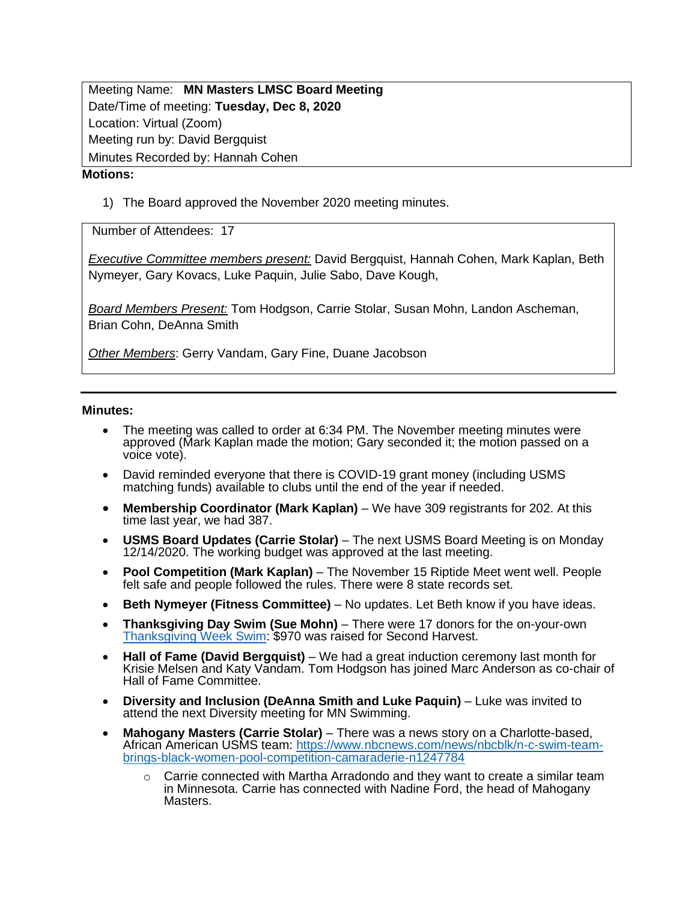Meeting Name: **MN Masters LMSC Board Meeting** Date/Time of meeting: **Tuesday, Dec 8, 2020** Location: Virtual (Zoom) Meeting run by: David Bergquist Minutes Recorded by: Hannah Cohen

## **Motions:**

1) The Board approved the November 2020 meeting minutes.

Number of Attendees: 17

*Executive Committee members present:* David Bergquist, Hannah Cohen, Mark Kaplan, Beth Nymeyer, Gary Kovacs, Luke Paquin, Julie Sabo, Dave Kough,

*Board Members Present:* Tom Hodgson, Carrie Stolar, Susan Mohn, Landon Ascheman, Brian Cohn, DeAnna Smith

*Other Members*: Gerry Vandam, Gary Fine, Duane Jacobson

## **Minutes:**

- The meeting was called to order at 6:34 PM. The November meeting minutes were approved (Mark Kaplan made the motion; Gary seconded it; the motion passed on a voice vote).
- David reminded everyone that there is COVID-19 grant money (including USMS matching funds) available to clubs until the end of the year if needed.
- **Membership Coordinator (Mark Kaplan)** We have 309 registrants for 202. At this time last year, we had 387.
- **USMS Board Updates (Carrie Stolar)** The next USMS Board Meeting is on Monday 12/14/2020. The working budget was approved at the last meeting.
- **Pool Competition (Mark Kaplan)**  The November 15 Riptide Meet went well. People felt safe and people followed the rules. There were 8 state records set.
- **Beth Nymeyer (Fitness Committee)**  No updates. Let Beth know if you have ideas.
- **Thanksgiving Day Swim (Sue Mohn)**  There were 17 donors for the on-your-own [Thanksgiving Week Swim:](https://secure.2harvest.org/site/TR;jsessionid=00000000.app30038a?px=1786899&fr_id=1450&pg=personal&NONCE_TOKEN=B2D34775C8D36B8678D539CECD1403E8#.X9JGNdhKg2w) \$970 was raised for Second Harvest.
- **Hall of Fame (David Bergquist)** We had a great induction ceremony last month for Krisie Melsen and Katy Vandam. Tom Hodgson has joined Marc Anderson as co-chair of Hall of Fame Committee.
- **Diversity and Inclusion (DeAnna Smith and Luke Paquin)**  Luke was invited to attend the next Diversity meeting for MN Swimming.
- **Mahogany Masters (Carrie Stolar)**  There was a news story on a Charlotte-based, African American USMS team: [https://www.nbcnews.com/news/nbcblk/n-c-swim-team](https://www.nbcnews.com/news/nbcblk/n-c-swim-team-brings-black-women-pool-competition-camaraderie-n1247784)[brings-black-women-pool-competition-camaraderie-n1247784](https://www.nbcnews.com/news/nbcblk/n-c-swim-team-brings-black-women-pool-competition-camaraderie-n1247784)
	- $\circ$  Carrie connected with Martha Arradondo and they want to create a similar team in Minnesota. Carrie has connected with Nadine Ford, the head of Mahogany Masters.